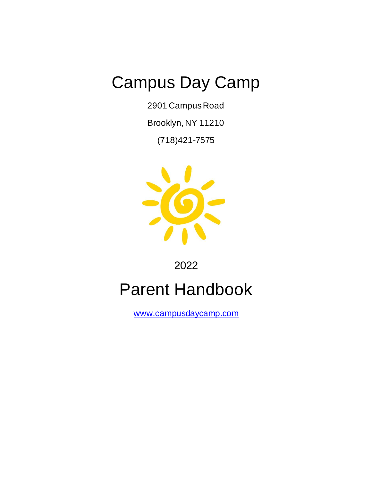2901 Campus Road

Brooklyn, NY 11210

(718)421-7575



2022

# Parent Handbook

[www.campusdaycamp.com](http://www.campusdaycamp.com/)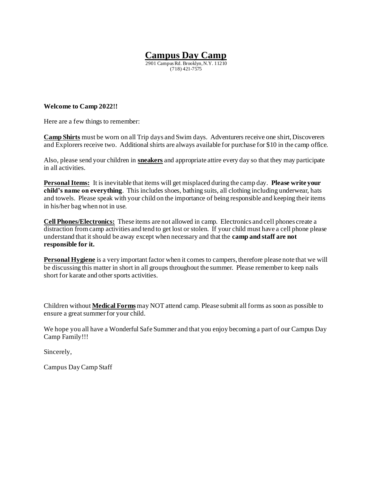2901 Campus Rd. Brooklyn, N.Y. 11210 (718) 421-7575

#### **Welcome to Camp 2022!!**

Here are a few things to remember:

**Camp Shirts** must be worn on all Trip days and Swim days. Adventurers receive one shirt, Discoverers and Explorers receive two. Additional shirts are always available for purchase for \$10 in the camp office.

Also, please send your children in **sneakers** and appropriate attire every day so that they may participate in all activities.

**Personal Items:** It is inevitable that items will get misplaced during the camp day. **Please write your child's name on everything**. This includes shoes, bathing suits, all clothing including underwear, hats and towels. Please speak with your child on the importance of being responsible and keeping their items in his/her bag when not in use.

**Cell Phones/Electronics:** These items are not allowed in camp. Electronics and cell phones create a distraction from camp activities and tend to get lost or stolen. If your child must have a cell phone please understand that it should be away except when necessary and that the **camp and staff are not responsible for it.**

**Personal Hygiene** is a very important factor when it comes to campers, therefore please note that we will be discussing this matter in short in all groups throughout the summer. Please remember to keep nails short for karate and other sports activities.

Children without **Medical Forms**may NOT attend camp. Please submit all forms as soon as possible to ensure a great summer for your child.

We hope you all have a Wonderful Safe Summer and that you enjoy becoming a part of our Campus Day Camp Family!!!

Sincerely,

Campus Day Camp Staff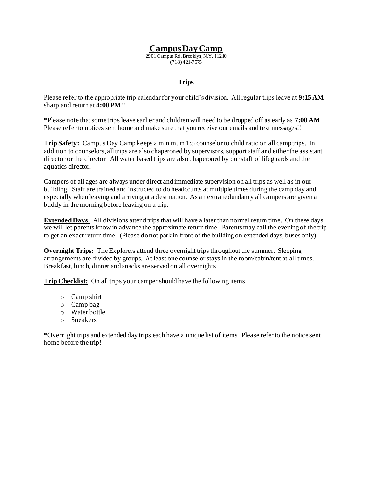2901 Campus Rd. Brooklyn, N.Y. 11210 (718) 421-7575

#### **Trips**

Please refer to the appropriate trip calendar for your child's division. All regular trips leave at **9:15 AM** sharp and return at **4:00 PM**!!

\*Please note that some trips leave earlier and children will need to be dropped off as early as **7:00 AM**. Please refer to notices sent home and make sure that you receive our emails and text messages!!

**Trip Safety:** Campus Day Camp keeps a minimum 1:5 counselor to child ratio on all camp trips. In addition to counselors, all trips are also chaperoned by supervisors, support staff and either the assistant director or the director. All water based trips are also chaperoned by our staff of lifeguards and the aquatics director.

Campers of all ages are always under direct and immediate supervision on all trips as well as in our building. Staff are trained and instructed to do headcounts at multiple times during the camp day and especially when leaving and arriving at a destination. As an extra redundancy all campers are given a buddy in the morning before leaving on a trip.

**Extended Days:** All divisions attend trips that will have a later than normal return time. On these days we will let parents know in advance the approximate return time. Parents may call the evening of the trip to get an exact return time. (Please do not park in front of the building on extended days, buses only)

**Overnight Trips:** The Explorers attend three overnight trips throughout the summer. Sleeping arrangements are divided by groups. At least one counselor stays in the room/cabin/tent at all times. Breakfast, lunch, dinner and snacks are served on all overnights.

**Trip Checklist:** On all trips your camper should have the following items.

- o Camp shirt
- o Camp bag
- o Water bottle
- o Sneakers

\*Overnight trips and extended day trips each have a unique list of items. Please refer to the notice sent home before the trip!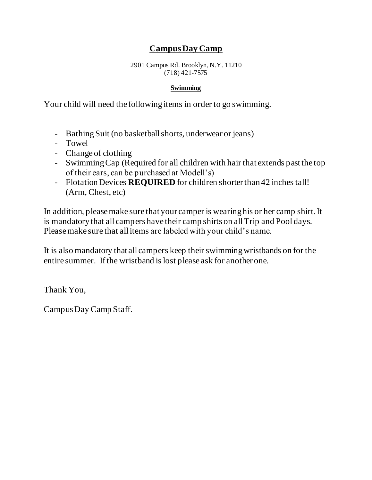2901 Campus Rd. Brooklyn, N.Y. 11210 (718) 421-7575

#### **Swimming**

Your child will need the following items in order to go swimming.

- Bathing Suit (no basketball shorts, underwear or jeans)
- Towel
- Change of clothing
- Swimming Cap (Required for all children with hair that extends past the top of their ears, can be purchased at Modell's)
- Flotation Devices **REQUIRED** for children shorter than 42 inches tall! (Arm, Chest, etc)

In addition, please make sure that your camper is wearing his or her camp shirt. It is mandatory that all campers have their camp shirts on all Trip and Pool days. Please make sure that all items are labeled with your child's name.

It is also mandatory that all campers keep their swimming wristbands on for the entire summer. If the wristband is lost please ask for another one.

Thank You,

Campus Day Camp Staff.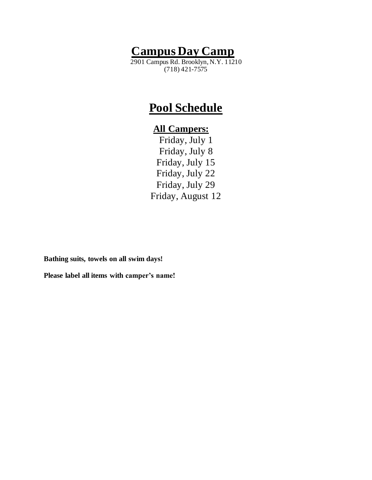2901 Campus Rd. Brooklyn, N.Y. 11210 (718) 421-7575

## **Pool Schedule**

### **All Campers:**

Friday, July 1 Friday, July 8 Friday, July 15 Friday, July 22 Friday, July 29 Friday, August 12

**Bathing suits, towels on all swim days!**

**Please label all items with camper's name!**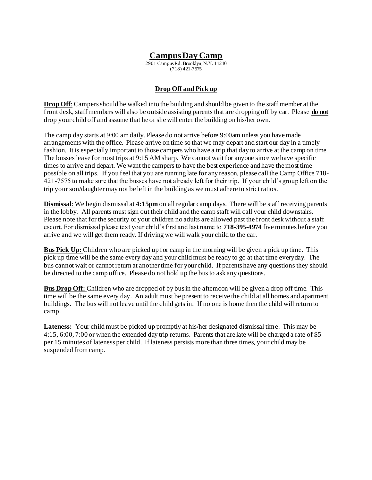2901 Campus Rd. Brooklyn, N.Y. 11210 (718) 421-7575

#### **Drop Off and Pick up**

**Drop Off**: Campers should be walked into the building and should be given to the staff member at the front desk, staff members will also be outside assisting parents that are dropping off by car. Please **do not** drop your child off and assume that he or she will enter the building on his/her own.

The camp day starts at 9:00 am daily. Please do not arrive before 9:00am unless you have made arrangements with the office. Please arrive on time so that we may depart and start our day in a timely fashion. It is especially important to those campers who have a trip that day to arrive at the camp on time. The busses leave for most trips at 9:15 AM sharp. We cannot wait for anyone since we have specific times to arrive and depart. We want the campers to have the best experience and have the most time possible on all trips. If you feel that you are running late for any reason, please call the Camp Office 718- 421-7575 to make sure that the busses have not already left for their trip. If your child's group left on the trip your son/daughter may not be left in the building as we must adhere to strict ratios.

**Dismissal**: We begin dismissal at **4:15pm** on all regular camp days. There will be staff receiving parents in the lobby. All parents must sign out their child and the camp staff will call your child downstairs. Please note that for the security of your children no adults are allowed past the front desk without a staff escort. For dismissal please text your child's first and last name to **718-395-4974** five minutes before you arrive and we will get them ready. If driving we will walk your child to the car.

**Bus Pick Up:** Children who are picked up for camp in the morning will be given a pick up time. This pick up time will be the same every day and your child must be ready to go at that time everyday. The bus cannot wait or cannot return at another time for your child. If parents have any questions they should be directed to the camp office. Please do not hold up the bus to ask any questions.

**Bus Drop Off:** Children who are dropped of by bus in the afternoon will be given a drop off time. This time will be the same every day. An adult must be present to receive the child at all homes and apartment buildings. The bus will not leave until the child gets in. If no one is home then the child will return to camp.

**Lateness:** Your child must be picked up promptly at his/her designated dismissal time. This may be 4:15, 6:00, 7:00 or when the extended day trip returns. Parents that are late will be charged a rate of \$5 per 15 minutes of lateness per child. If lateness persists more than three times, your child may be suspended from camp.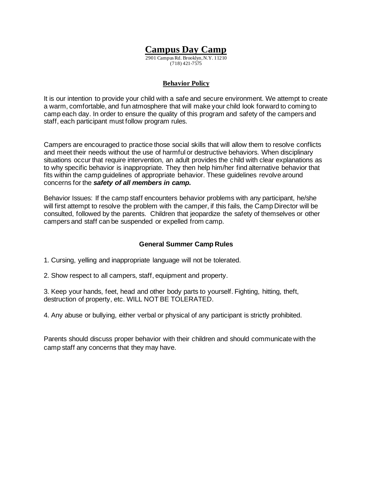2901 Campus Rd. Brooklyn, N.Y. 11210 (718) 421-7575

#### **Behavior Policy**

It is our intention to provide your child with a safe and secure environment. We attempt to create a warm, comfortable, and fun atmosphere that will make your child look forward to coming to camp each day. In order to ensure the quality of this program and safety of the campers and staff, each participant must follow program rules.

Campers are encouraged to practice those social skills that will allow them to resolve conflicts and meet their needs without the use of harmful or destructive behaviors. When disciplinary situations occur that require intervention, an adult provides the child with clear explanations as to why specific behavior is inappropriate. They then help him/her find alternative behavior that fits within the camp guidelines of appropriate behavior. These guidelines revolve around concerns for the *safety of all members in camp.* 

Behavior Issues: If the camp staff encounters behavior problems with any participant, he/she will first attempt to resolve the problem with the camper, if this fails, the Camp Director will be consulted, followed by the parents. Children that jeopardize the safety of themselves or other campers and staff can be suspended or expelled from camp.

#### **General Summer Camp Rules**

- 1. Cursing, yelling and inappropriate language will not be tolerated.
- 2. Show respect to all campers, staff, equipment and property.

3. Keep your hands, feet, head and other body parts to yourself. Fighting, hitting, theft, destruction of property, etc. WILL NOT BE TOLERATED.

4. Any abuse or bullying, either verbal or physical of any participant is strictly prohibited.

Parents should discuss proper behavior with their children and should communicate with the camp staff any concerns that they may have.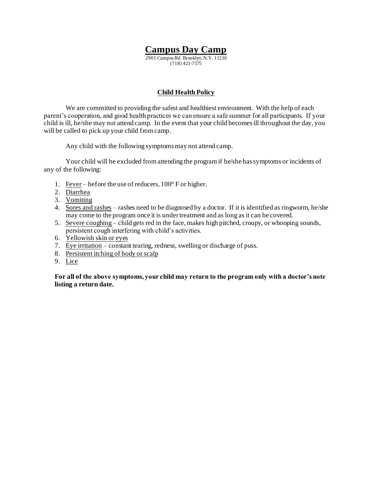2901 Campus Rd. Brooklyn, N.Y. 11210 (718) 421-7575

#### **Child Health Policy**

We are committed to providing the safest and healthiest environment. With the help of each parent's cooperation, and good health practices we can ensure a safe summer for all participants. If your child is ill, he/she may not attend camp. In the event that your child becomes ill throughout the day, you will be called to pick up your child from camp.

Any child with the following symptoms may not attend camp.

Your child will be excluded from attending the program if he/she has symptoms or incidents of any of the following:

- 1. Fever before the use of reducers, 100° F or higher.
- 2. Diarrhea
- 3. Vomiting
- 4. Sores and rashes rashes need to be diagnosed by a doctor. If it is identified as ringworm, he/she may come to the program once it is under treatment and as long as it can be covered.
- 5. Severe coughing child gets red in the face, makes high pitched, croupy, or whooping sounds, persistent cough interfering with child's activities.
- 6. Yellowish skin or eyes
- 7. Eye irritation constant tearing, redness, swelling or discharge of puss.
- 8. Persistent itching of body or scalp
- 9. Lice

**For all of the above symptoms, your child may return to the program only with a doctor's note listing a return date.**